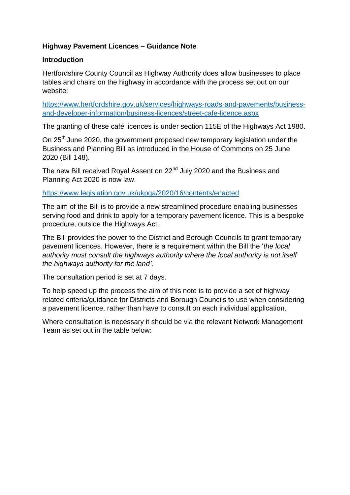## **Highway Pavement Licences – Guidance Note**

## **Introduction**

Hertfordshire County Council as Highway Authority does allow businesses to place tables and chairs on the highway in accordance with the process set out on our website:

[https://www.hertfordshire.gov.uk/services/highways-roads-and-pavements/business](https://www.hertfordshire.gov.uk/services/highways-roads-and-pavements/business-and-developer-information/business-licences/street-cafe-licence.aspx)[and-developer-information/business-licences/street-cafe-licence.aspx](https://www.hertfordshire.gov.uk/services/highways-roads-and-pavements/business-and-developer-information/business-licences/street-cafe-licence.aspx)

The granting of these café licences is under section 115E of the Highways Act 1980.

On 25<sup>th</sup> June 2020, the government proposed new temporary legislation under the Business and Planning Bill as introduced in the House of Commons on 25 June 2020 (Bill 148).

The new Bill received Royal Assent on 22<sup>nd</sup> July 2020 and the Business and Planning Act 2020 is now law.

### <https://www.legislation.gov.uk/ukpga/2020/16/contents/enacted>

The aim of the Bill is to provide a new streamlined procedure enabling businesses serving food and drink to apply for a temporary pavement licence. This is a bespoke procedure, outside the Highways Act.

The Bill provides the power to the District and Borough Councils to grant temporary pavement licences. However, there is a requirement within the Bill the '*the local authority must consult the highways authority where the local authority is not itself the highways authority for the land'*.

The consultation period is set at 7 days.

To help speed up the process the aim of this note is to provide a set of highway related criteria/guidance for Districts and Borough Councils to use when considering a pavement licence, rather than have to consult on each individual application.

Where consultation is necessary it should be via the relevant Network Management Team as set out in the table below: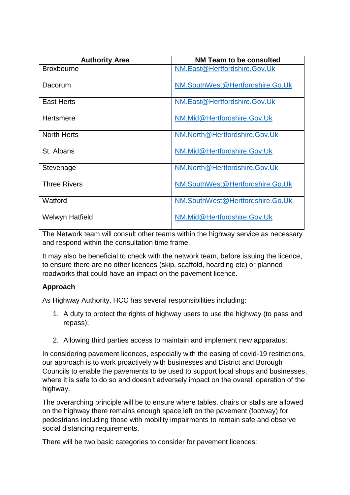| <b>Authority Area</b>  | <b>NM Team to be consulted</b>   |
|------------------------|----------------------------------|
| <b>Broxbourne</b>      | NM.East@Hertfordshire.Gov.Uk     |
| Dacorum                | NM.SouthWest@Hertfordshire.Go.Uk |
| <b>East Herts</b>      | NM.East@Hertfordshire.Gov.Uk     |
| Hertsmere              | NM.Mid@Hertfordshire.Gov.Uk      |
| <b>North Herts</b>     | NM.North@Hertfordshire.Gov.Uk    |
| St. Albans             | NM.Mid@Hertfordshire.Gov.Uk      |
| Stevenage              | NM.North@Hertfordshire.Gov.Uk    |
| <b>Three Rivers</b>    | NM.SouthWest@Hertfordshire.Go.Uk |
| Watford                | NM.SouthWest@Hertfordshire.Go.Uk |
| <b>Welwyn Hatfield</b> | NM.Mid@Hertfordshire.Gov.Uk      |

The Network team will consult other teams within the highway service as necessary and respond within the consultation time frame.

It may also be beneficial to check with the network team, before issuing the licence, to ensure there are no other licences (skip, scaffold, hoarding etc) or planned roadworks that could have an impact on the pavement licence.

## **Approach**

As Highway Authority, HCC has several responsibilities including:

- 1. A duty to protect the rights of highway users to use the highway (to pass and repass);
- 2. Allowing third parties access to maintain and implement new apparatus;

In considering pavement licences, especially with the easing of covid-19 restrictions, our approach is to work proactively with businesses and District and Borough Councils to enable the pavements to be used to support local shops and businesses, where it is safe to do so and doesn't adversely impact on the overall operation of the highway.

The overarching principle will be to ensure where tables, chairs or stalls are allowed on the highway there remains enough space left on the pavement (footway) for pedestrians including those with mobility impairments to remain safe and observe social distancing requirements.

There will be two basic categories to consider for pavement licences: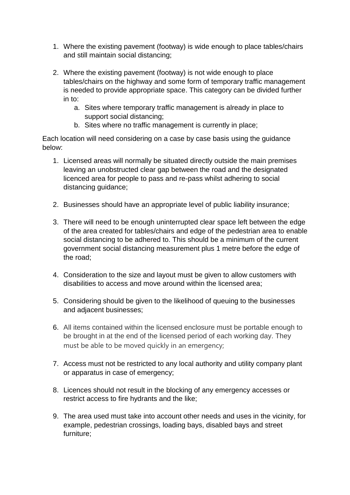- 1. Where the existing pavement (footway) is wide enough to place tables/chairs and still maintain social distancing;
- 2. Where the existing pavement (footway) is not wide enough to place tables/chairs on the highway and some form of temporary traffic management is needed to provide appropriate space. This category can be divided further in to:
	- a. Sites where temporary traffic management is already in place to support social distancing;
	- b. Sites where no traffic management is currently in place;

Each location will need considering on a case by case basis using the guidance below:

- 1. Licensed areas will normally be situated directly outside the main premises leaving an unobstructed clear gap between the road and the designated licenced area for people to pass and re-pass whilst adhering to social distancing guidance;
- 2. Businesses should have an appropriate level of public liability insurance;
- 3. There will need to be enough uninterrupted clear space left between the edge of the area created for tables/chairs and edge of the pedestrian area to enable social distancing to be adhered to. This should be a minimum of the current government social distancing measurement plus 1 metre before the edge of the road;
- 4. Consideration to the size and layout must be given to allow customers with disabilities to access and move around within the licensed area;
- 5. Considering should be given to the likelihood of queuing to the businesses and adjacent businesses;
- 6. All items contained within the licensed enclosure must be portable enough to be brought in at the end of the licensed period of each working day. They must be able to be moved quickly in an emergency;
- 7. Access must not be restricted to any local authority and utility company plant or apparatus in case of emergency;
- 8. Licences should not result in the blocking of any emergency accesses or restrict access to fire hydrants and the like;
- 9. The area used must take into account other needs and uses in the vicinity, for example, pedestrian crossings, loading bays, disabled bays and street furniture;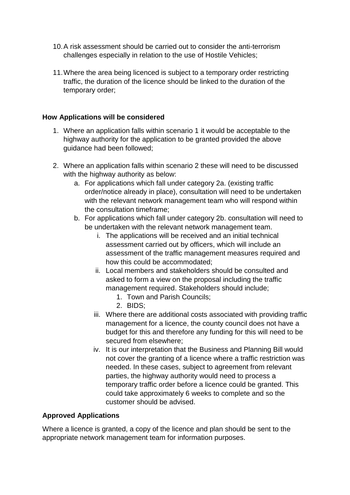- 10.A risk assessment should be carried out to consider the anti-terrorism challenges especially in relation to the use of Hostile Vehicles;
- 11.Where the area being licenced is subject to a temporary order restricting traffic, the duration of the licence should be linked to the duration of the temporary order;

### **How Applications will be considered**

- 1. Where an application falls within scenario 1 it would be acceptable to the highway authority for the application to be granted provided the above guidance had been followed;
- 2. Where an application falls within scenario 2 these will need to be discussed with the highway authority as below:
	- a. For applications which fall under category 2a. (existing traffic order/notice already in place), consultation will need to be undertaken with the relevant network management team who will respond within the consultation timeframe;
	- b. For applications which fall under category 2b. consultation will need to be undertaken with the relevant network management team.
		- i. The applications will be received and an initial technical assessment carried out by officers, which will include an assessment of the traffic management measures required and how this could be accommodated;
		- ii. Local members and stakeholders should be consulted and asked to form a view on the proposal including the traffic management required. Stakeholders should include;
			- 1. Town and Parish Councils;
			- 2. BIDS;
		- iii. Where there are additional costs associated with providing traffic management for a licence, the county council does not have a budget for this and therefore any funding for this will need to be secured from elsewhere;
		- iv. It is our interpretation that the Business and Planning Bill would not cover the granting of a licence where a traffic restriction was needed. In these cases, subject to agreement from relevant parties, the highway authority would need to process a temporary traffic order before a licence could be granted. This could take approximately 6 weeks to complete and so the customer should be advised.

#### **Approved Applications**

Where a licence is granted, a copy of the licence and plan should be sent to the appropriate network management team for information purposes.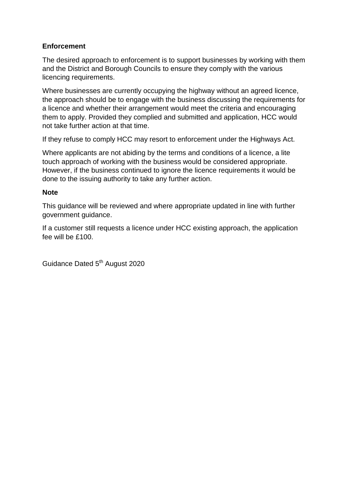# **Enforcement**

The desired approach to enforcement is to support businesses by working with them and the District and Borough Councils to ensure they comply with the various licencing requirements.

Where businesses are currently occupying the highway without an agreed licence, the approach should be to engage with the business discussing the requirements for a licence and whether their arrangement would meet the criteria and encouraging them to apply. Provided they complied and submitted and application, HCC would not take further action at that time.

If they refuse to comply HCC may resort to enforcement under the Highways Act.

Where applicants are not abiding by the terms and conditions of a licence, a lite touch approach of working with the business would be considered appropriate. However, if the business continued to ignore the licence requirements it would be done to the issuing authority to take any further action.

#### **Note**

This guidance will be reviewed and where appropriate updated in line with further government guidance.

If a customer still requests a licence under HCC existing approach, the application fee will be £100.

Guidance Dated 5<sup>th</sup> August 2020